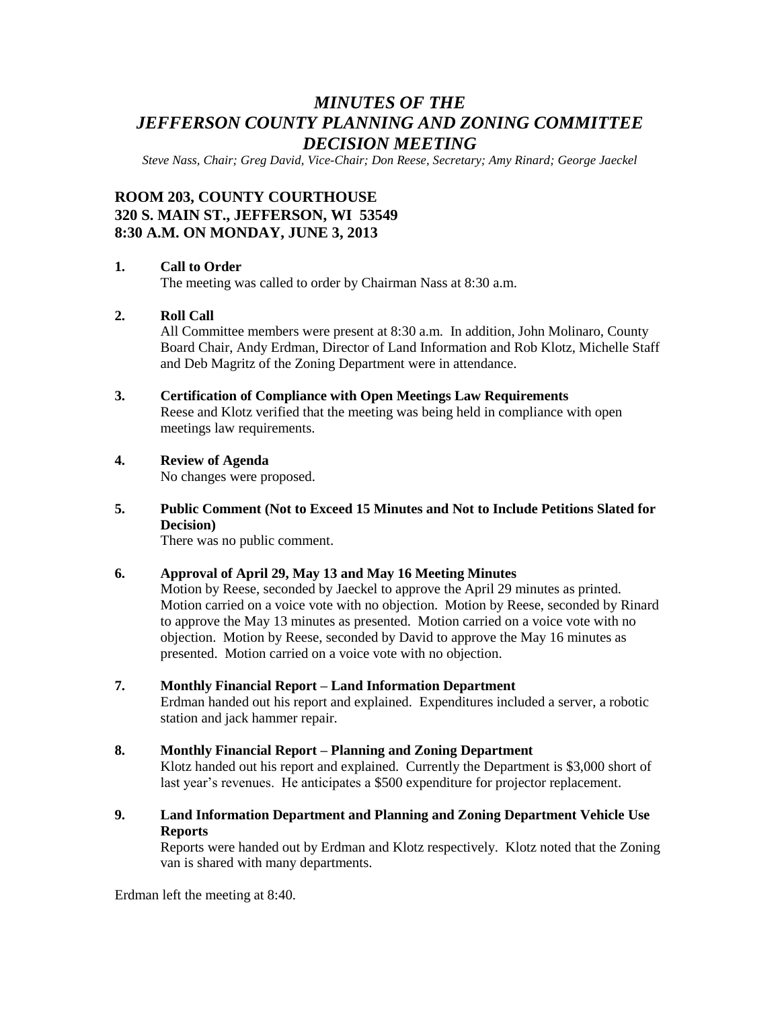# *MINUTES OF THE JEFFERSON COUNTY PLANNING AND ZONING COMMITTEE DECISION MEETING*

*Steve Nass, Chair; Greg David, Vice-Chair; Don Reese, Secretary; Amy Rinard; George Jaeckel*

## **ROOM 203, COUNTY COURTHOUSE 320 S. MAIN ST., JEFFERSON, WI 53549 8:30 A.M. ON MONDAY, JUNE 3, 2013**

### **1. Call to Order**

The meeting was called to order by Chairman Nass at 8:30 a.m.

### **2. Roll Call**

All Committee members were present at 8:30 a.m. In addition, John Molinaro, County Board Chair, Andy Erdman, Director of Land Information and Rob Klotz, Michelle Staff and Deb Magritz of the Zoning Department were in attendance.

**3. Certification of Compliance with Open Meetings Law Requirements**

Reese and Klotz verified that the meeting was being held in compliance with open meetings law requirements.

### **4. Review of Agenda**

No changes were proposed.

### **5. Public Comment (Not to Exceed 15 Minutes and Not to Include Petitions Slated for Decision)**

There was no public comment.

### **6. Approval of April 29, May 13 and May 16 Meeting Minutes**

Motion by Reese, seconded by Jaeckel to approve the April 29 minutes as printed. Motion carried on a voice vote with no objection. Motion by Reese, seconded by Rinard to approve the May 13 minutes as presented. Motion carried on a voice vote with no objection. Motion by Reese, seconded by David to approve the May 16 minutes as presented. Motion carried on a voice vote with no objection.

#### **7. Monthly Financial Report – Land Information Department**

Erdman handed out his report and explained. Expenditures included a server, a robotic station and jack hammer repair.

#### **8. Monthly Financial Report – Planning and Zoning Department**

Klotz handed out his report and explained. Currently the Department is \$3,000 short of last year's revenues. He anticipates a \$500 expenditure for projector replacement.

**9. Land Information Department and Planning and Zoning Department Vehicle Use Reports**

Reports were handed out by Erdman and Klotz respectively. Klotz noted that the Zoning van is shared with many departments.

Erdman left the meeting at 8:40.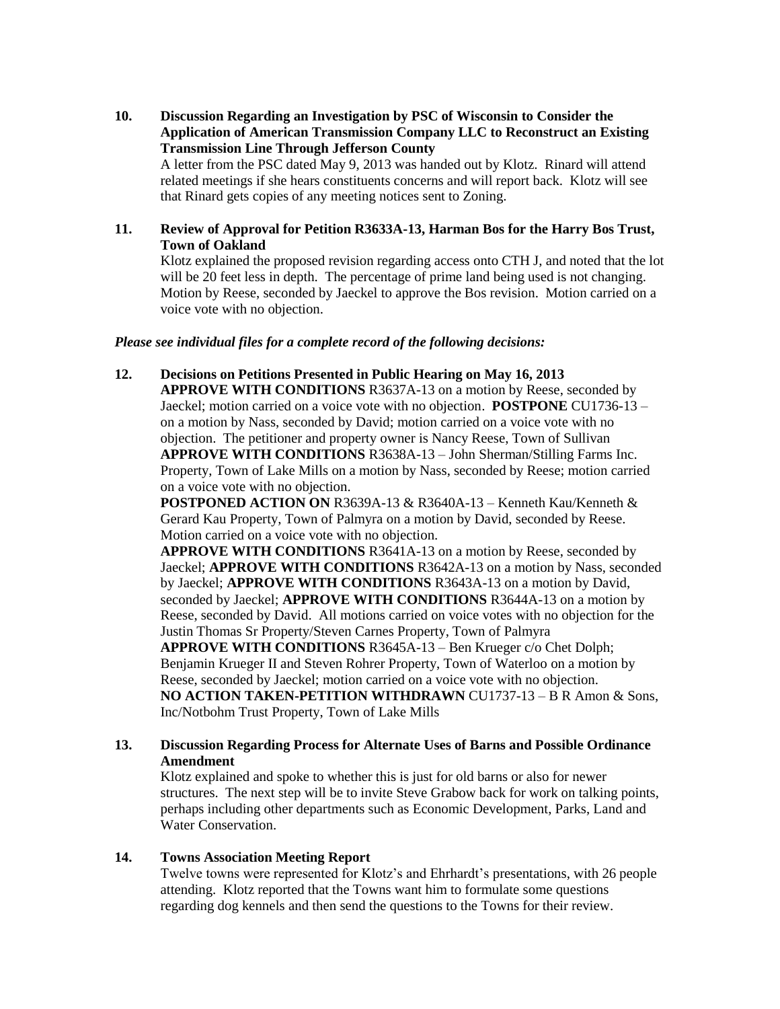**10. Discussion Regarding an Investigation by PSC of Wisconsin to Consider the Application of American Transmission Company LLC to Reconstruct an Existing Transmission Line Through Jefferson County** A letter from the PSC dated May 9, 2013 was handed out by Klotz. Rinard will attend

related meetings if she hears constituents concerns and will report back. Klotz will see that Rinard gets copies of any meeting notices sent to Zoning.

#### **11. Review of Approval for Petition R3633A-13, Harman Bos for the Harry Bos Trust, Town of Oakland**

Klotz explained the proposed revision regarding access onto CTH J, and noted that the lot will be 20 feet less in depth. The percentage of prime land being used is not changing. Motion by Reese, seconded by Jaeckel to approve the Bos revision. Motion carried on a voice vote with no objection.

#### *Please see individual files for a complete record of the following decisions:*

**12. Decisions on Petitions Presented in Public Hearing on May 16, 2013**

**APPROVE WITH CONDITIONS** R3637A-13 on a motion by Reese, seconded by Jaeckel; motion carried on a voice vote with no objection. **POSTPONE** CU1736-13 – on a motion by Nass, seconded by David; motion carried on a voice vote with no objection. The petitioner and property owner is Nancy Reese, Town of Sullivan **APPROVE WITH CONDITIONS** R3638A-13 – John Sherman/Stilling Farms Inc. Property, Town of Lake Mills on a motion by Nass, seconded by Reese; motion carried on a voice vote with no objection.

**POSTPONED ACTION ON** R3639A-13 & R3640A-13 – Kenneth Kau/Kenneth & Gerard Kau Property, Town of Palmyra on a motion by David, seconded by Reese. Motion carried on a voice vote with no objection.

**APPROVE WITH CONDITIONS** R3641A-13 on a motion by Reese, seconded by Jaeckel; **APPROVE WITH CONDITIONS** R3642A-13 on a motion by Nass, seconded by Jaeckel; **APPROVE WITH CONDITIONS** R3643A-13 on a motion by David, seconded by Jaeckel; **APPROVE WITH CONDITIONS** R3644A-13 on a motion by Reese, seconded by David. All motions carried on voice votes with no objection for the Justin Thomas Sr Property/Steven Carnes Property, Town of Palmyra **APPROVE WITH CONDITIONS** R3645A-13 – Ben Krueger c/o Chet Dolph;

Benjamin Krueger II and Steven Rohrer Property, Town of Waterloo on a motion by Reese, seconded by Jaeckel; motion carried on a voice vote with no objection. **NO ACTION TAKEN-PETITION WITHDRAWN** CU1737-13 – B R Amon & Sons, Inc/Notbohm Trust Property, Town of Lake Mills

### **13. Discussion Regarding Process for Alternate Uses of Barns and Possible Ordinance Amendment**

Klotz explained and spoke to whether this is just for old barns or also for newer structures. The next step will be to invite Steve Grabow back for work on talking points, perhaps including other departments such as Economic Development, Parks, Land and Water Conservation.

### **14. Towns Association Meeting Report**

Twelve towns were represented for Klotz's and Ehrhardt's presentations, with 26 people attending. Klotz reported that the Towns want him to formulate some questions regarding dog kennels and then send the questions to the Towns for their review.